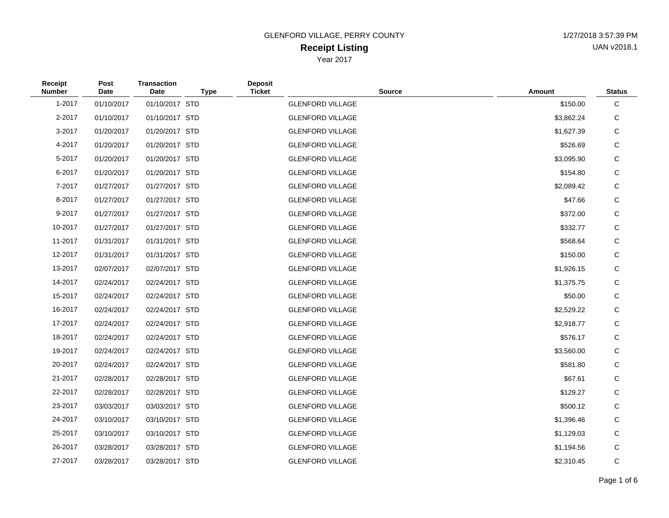| <b>Receipt</b><br><b>Number</b> | Post<br>Date | <b>Transaction</b><br>Date | <b>Type</b> | <b>Deposit</b><br><b>Ticket</b> | <b>Source</b>           | Amount     | <b>Status</b> |
|---------------------------------|--------------|----------------------------|-------------|---------------------------------|-------------------------|------------|---------------|
| 1-2017                          | 01/10/2017   | 01/10/2017 STD             |             |                                 | <b>GLENFORD VILLAGE</b> | \$150.00   | С             |
| 2-2017                          | 01/10/2017   | 01/10/2017 STD             |             |                                 | <b>GLENFORD VILLAGE</b> | \$3,862.24 | С             |
| 3-2017                          | 01/20/2017   | 01/20/2017 STD             |             |                                 | <b>GLENFORD VILLAGE</b> | \$1,627.39 | С             |
| 4-2017                          | 01/20/2017   | 01/20/2017 STD             |             |                                 | <b>GLENFORD VILLAGE</b> | \$526.69   | С             |
| 5-2017                          | 01/20/2017   | 01/20/2017 STD             |             |                                 | <b>GLENFORD VILLAGE</b> | \$3,095.90 | С             |
| 6-2017                          | 01/20/2017   | 01/20/2017 STD             |             |                                 | <b>GLENFORD VILLAGE</b> | \$154.80   | С             |
| 7-2017                          | 01/27/2017   | 01/27/2017 STD             |             |                                 | <b>GLENFORD VILLAGE</b> | \$2,089.42 | С             |
| 8-2017                          | 01/27/2017   | 01/27/2017 STD             |             |                                 | <b>GLENFORD VILLAGE</b> | \$47.66    | С             |
| 9-2017                          | 01/27/2017   | 01/27/2017 STD             |             |                                 | <b>GLENFORD VILLAGE</b> | \$372.00   | С             |
| 10-2017                         | 01/27/2017   | 01/27/2017 STD             |             |                                 | <b>GLENFORD VILLAGE</b> | \$332.77   | С             |
| 11-2017                         | 01/31/2017   | 01/31/2017 STD             |             |                                 | <b>GLENFORD VILLAGE</b> | \$568.64   | С             |
| 12-2017                         | 01/31/2017   | 01/31/2017 STD             |             |                                 | <b>GLENFORD VILLAGE</b> | \$150.00   | С             |
| 13-2017                         | 02/07/2017   | 02/07/2017 STD             |             |                                 | <b>GLENFORD VILLAGE</b> | \$1,926.15 | С             |
| 14-2017                         | 02/24/2017   | 02/24/2017 STD             |             |                                 | <b>GLENFORD VILLAGE</b> | \$1,375.75 | С             |
| 15-2017                         | 02/24/2017   | 02/24/2017 STD             |             |                                 | <b>GLENFORD VILLAGE</b> | \$50.00    | С             |
| 16-2017                         | 02/24/2017   | 02/24/2017 STD             |             |                                 | <b>GLENFORD VILLAGE</b> | \$2,529.22 | С             |
| 17-2017                         | 02/24/2017   | 02/24/2017 STD             |             |                                 | <b>GLENFORD VILLAGE</b> | \$2,918.77 | С             |
| 18-2017                         | 02/24/2017   | 02/24/2017 STD             |             |                                 | <b>GLENFORD VILLAGE</b> | \$576.17   | С             |
| 19-2017                         | 02/24/2017   | 02/24/2017 STD             |             |                                 | <b>GLENFORD VILLAGE</b> | \$3,560.00 | С             |
| 20-2017                         | 02/24/2017   | 02/24/2017 STD             |             |                                 | <b>GLENFORD VILLAGE</b> | \$581.80   | С             |
| 21-2017                         | 02/28/2017   | 02/28/2017 STD             |             |                                 | <b>GLENFORD VILLAGE</b> | \$67.61    | С             |
| 22-2017                         | 02/28/2017   | 02/28/2017 STD             |             |                                 | <b>GLENFORD VILLAGE</b> | \$129.27   | С             |
| 23-2017                         | 03/03/2017   | 03/03/2017 STD             |             |                                 | <b>GLENFORD VILLAGE</b> | \$500.12   | С             |
| 24-2017                         | 03/10/2017   | 03/10/2017 STD             |             |                                 | <b>GLENFORD VILLAGE</b> | \$1,396.46 | С             |
| 25-2017                         | 03/10/2017   | 03/10/2017 STD             |             |                                 | <b>GLENFORD VILLAGE</b> | \$1,129.03 | С             |
| 26-2017                         | 03/28/2017   | 03/28/2017 STD             |             |                                 | <b>GLENFORD VILLAGE</b> | \$1,194.56 | С             |
| 27-2017                         | 03/28/2017   | 03/28/2017 STD             |             |                                 | <b>GLENFORD VILLAGE</b> | \$2,310.45 | С             |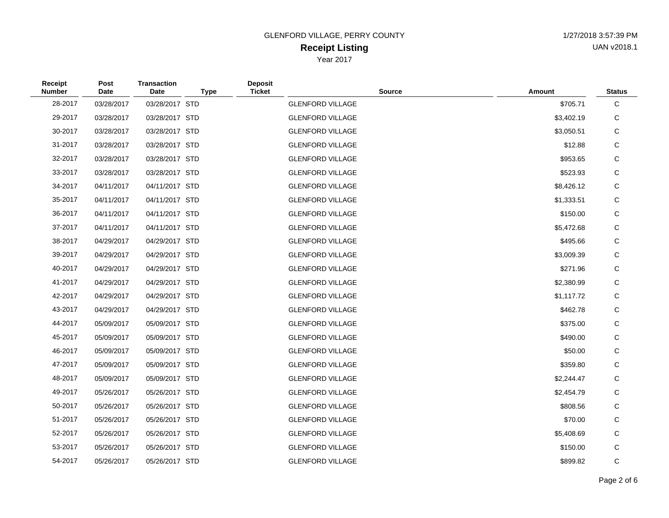| Receipt<br><b>Number</b> | Post<br>Date | <b>Transaction</b><br>Date | <b>Type</b> | <b>Deposit</b><br><b>Ticket</b> | <b>Source</b>           | Amount     | <b>Status</b> |
|--------------------------|--------------|----------------------------|-------------|---------------------------------|-------------------------|------------|---------------|
| 28-2017                  | 03/28/2017   | 03/28/2017 STD             |             |                                 | <b>GLENFORD VILLAGE</b> | \$705.71   | C             |
| 29-2017                  | 03/28/2017   | 03/28/2017 STD             |             |                                 | <b>GLENFORD VILLAGE</b> | \$3,402.19 | С             |
| 30-2017                  | 03/28/2017   | 03/28/2017 STD             |             |                                 | <b>GLENFORD VILLAGE</b> | \$3,050.51 | C             |
| 31-2017                  | 03/28/2017   | 03/28/2017 STD             |             |                                 | <b>GLENFORD VILLAGE</b> | \$12.88    | C             |
| 32-2017                  | 03/28/2017   | 03/28/2017 STD             |             |                                 | <b>GLENFORD VILLAGE</b> | \$953.65   | C             |
| 33-2017                  | 03/28/2017   | 03/28/2017 STD             |             |                                 | <b>GLENFORD VILLAGE</b> | \$523.93   | С             |
| 34-2017                  | 04/11/2017   | 04/11/2017 STD             |             |                                 | <b>GLENFORD VILLAGE</b> | \$8,426.12 | С             |
| 35-2017                  | 04/11/2017   | 04/11/2017 STD             |             |                                 | <b>GLENFORD VILLAGE</b> | \$1,333.51 | С             |
| 36-2017                  | 04/11/2017   | 04/11/2017 STD             |             |                                 | <b>GLENFORD VILLAGE</b> | \$150.00   | C             |
| 37-2017                  | 04/11/2017   | 04/11/2017 STD             |             |                                 | <b>GLENFORD VILLAGE</b> | \$5,472.68 | С             |
| 38-2017                  | 04/29/2017   | 04/29/2017 STD             |             |                                 | <b>GLENFORD VILLAGE</b> | \$495.66   | С             |
| 39-2017                  | 04/29/2017   | 04/29/2017 STD             |             |                                 | <b>GLENFORD VILLAGE</b> | \$3,009.39 | С             |
| 40-2017                  | 04/29/2017   | 04/29/2017 STD             |             |                                 | <b>GLENFORD VILLAGE</b> | \$271.96   | С             |
| 41-2017                  | 04/29/2017   | 04/29/2017 STD             |             |                                 | <b>GLENFORD VILLAGE</b> | \$2,380.99 | С             |
| 42-2017                  | 04/29/2017   | 04/29/2017 STD             |             |                                 | <b>GLENFORD VILLAGE</b> | \$1,117.72 | С             |
| 43-2017                  | 04/29/2017   | 04/29/2017 STD             |             |                                 | <b>GLENFORD VILLAGE</b> | \$462.78   | С             |
| 44-2017                  | 05/09/2017   | 05/09/2017 STD             |             |                                 | <b>GLENFORD VILLAGE</b> | \$375.00   | С             |
| 45-2017                  | 05/09/2017   | 05/09/2017 STD             |             |                                 | <b>GLENFORD VILLAGE</b> | \$490.00   | С             |
| 46-2017                  | 05/09/2017   | 05/09/2017 STD             |             |                                 | <b>GLENFORD VILLAGE</b> | \$50.00    | C             |
| 47-2017                  | 05/09/2017   | 05/09/2017 STD             |             |                                 | <b>GLENFORD VILLAGE</b> | \$359.80   | С             |
| 48-2017                  | 05/09/2017   | 05/09/2017 STD             |             |                                 | <b>GLENFORD VILLAGE</b> | \$2,244.47 | С             |
| 49-2017                  | 05/26/2017   | 05/26/2017 STD             |             |                                 | <b>GLENFORD VILLAGE</b> | \$2,454.79 | С             |
| 50-2017                  | 05/26/2017   | 05/26/2017 STD             |             |                                 | <b>GLENFORD VILLAGE</b> | \$808.56   | С             |
| 51-2017                  | 05/26/2017   | 05/26/2017 STD             |             |                                 | <b>GLENFORD VILLAGE</b> | \$70.00    | С             |
| 52-2017                  | 05/26/2017   | 05/26/2017 STD             |             |                                 | <b>GLENFORD VILLAGE</b> | \$5,408.69 | С             |
| 53-2017                  | 05/26/2017   | 05/26/2017 STD             |             |                                 | <b>GLENFORD VILLAGE</b> | \$150.00   | С             |
| 54-2017                  | 05/26/2017   | 05/26/2017 STD             |             |                                 | <b>GLENFORD VILLAGE</b> | \$899.82   | C             |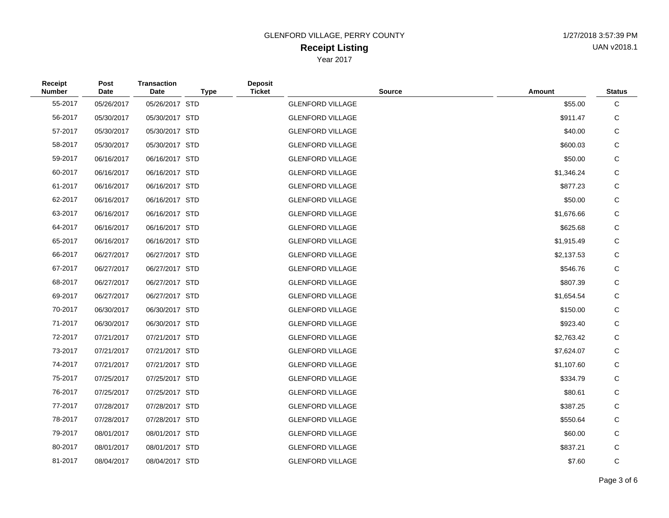| Receipt<br><b>Number</b> | Post<br>Date | <b>Transaction</b><br>Date | <b>Type</b> | <b>Deposit</b><br><b>Ticket</b> | <b>Source</b>           | Amount     | <b>Status</b> |
|--------------------------|--------------|----------------------------|-------------|---------------------------------|-------------------------|------------|---------------|
| 55-2017                  | 05/26/2017   | 05/26/2017 STD             |             |                                 | <b>GLENFORD VILLAGE</b> | \$55.00    | C             |
| 56-2017                  | 05/30/2017   | 05/30/2017 STD             |             |                                 | <b>GLENFORD VILLAGE</b> | \$911.47   | С             |
| 57-2017                  | 05/30/2017   | 05/30/2017 STD             |             |                                 | <b>GLENFORD VILLAGE</b> | \$40.00    | C             |
| 58-2017                  | 05/30/2017   | 05/30/2017 STD             |             |                                 | <b>GLENFORD VILLAGE</b> | \$600.03   | С             |
| 59-2017                  | 06/16/2017   | 06/16/2017 STD             |             |                                 | <b>GLENFORD VILLAGE</b> | \$50.00    | C             |
| 60-2017                  | 06/16/2017   | 06/16/2017 STD             |             |                                 | <b>GLENFORD VILLAGE</b> | \$1,346.24 | С             |
| 61-2017                  | 06/16/2017   | 06/16/2017 STD             |             |                                 | <b>GLENFORD VILLAGE</b> | \$877.23   | С             |
| 62-2017                  | 06/16/2017   | 06/16/2017 STD             |             |                                 | <b>GLENFORD VILLAGE</b> | \$50.00    | C             |
| 63-2017                  | 06/16/2017   | 06/16/2017 STD             |             |                                 | <b>GLENFORD VILLAGE</b> | \$1,676.66 | C             |
| 64-2017                  | 06/16/2017   | 06/16/2017 STD             |             |                                 | <b>GLENFORD VILLAGE</b> | \$625.68   | C             |
| 65-2017                  | 06/16/2017   | 06/16/2017 STD             |             |                                 | <b>GLENFORD VILLAGE</b> | \$1,915.49 | С             |
| 66-2017                  | 06/27/2017   | 06/27/2017 STD             |             |                                 | <b>GLENFORD VILLAGE</b> | \$2,137.53 | C             |
| 67-2017                  | 06/27/2017   | 06/27/2017 STD             |             |                                 | <b>GLENFORD VILLAGE</b> | \$546.76   | C             |
| 68-2017                  | 06/27/2017   | 06/27/2017 STD             |             |                                 | <b>GLENFORD VILLAGE</b> | \$807.39   | С             |
| 69-2017                  | 06/27/2017   | 06/27/2017 STD             |             |                                 | <b>GLENFORD VILLAGE</b> | \$1,654.54 | С             |
| 70-2017                  | 06/30/2017   | 06/30/2017 STD             |             |                                 | <b>GLENFORD VILLAGE</b> | \$150.00   | С             |
| 71-2017                  | 06/30/2017   | 06/30/2017 STD             |             |                                 | <b>GLENFORD VILLAGE</b> | \$923.40   | С             |
| 72-2017                  | 07/21/2017   | 07/21/2017 STD             |             |                                 | <b>GLENFORD VILLAGE</b> | \$2,763.42 | С             |
| 73-2017                  | 07/21/2017   | 07/21/2017 STD             |             |                                 | <b>GLENFORD VILLAGE</b> | \$7,624.07 | С             |
| 74-2017                  | 07/21/2017   | 07/21/2017 STD             |             |                                 | <b>GLENFORD VILLAGE</b> | \$1,107.60 | С             |
| 75-2017                  | 07/25/2017   | 07/25/2017 STD             |             |                                 | <b>GLENFORD VILLAGE</b> | \$334.79   | C             |
| 76-2017                  | 07/25/2017   | 07/25/2017 STD             |             |                                 | <b>GLENFORD VILLAGE</b> | \$80.61    | С             |
| 77-2017                  | 07/28/2017   | 07/28/2017 STD             |             |                                 | <b>GLENFORD VILLAGE</b> | \$387.25   | С             |
| 78-2017                  | 07/28/2017   | 07/28/2017 STD             |             |                                 | <b>GLENFORD VILLAGE</b> | \$550.64   | C             |
| 79-2017                  | 08/01/2017   | 08/01/2017 STD             |             |                                 | <b>GLENFORD VILLAGE</b> | \$60.00    | С             |
| 80-2017                  | 08/01/2017   | 08/01/2017 STD             |             |                                 | <b>GLENFORD VILLAGE</b> | \$837.21   | С             |
| 81-2017                  | 08/04/2017   | 08/04/2017 STD             |             |                                 | <b>GLENFORD VILLAGE</b> | \$7.60     | C             |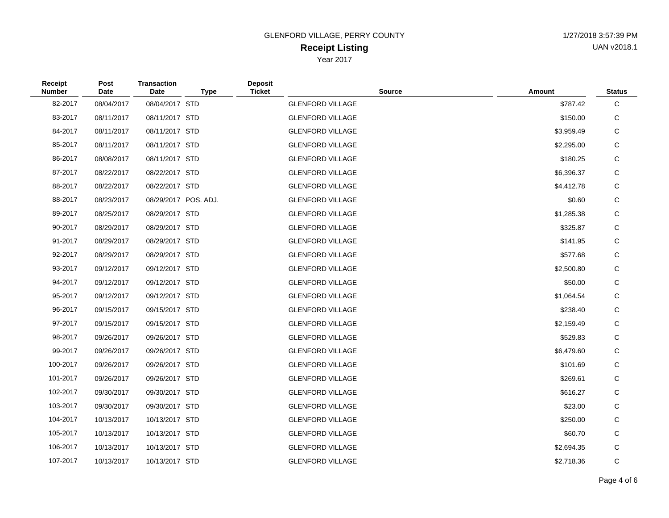| Receipt<br><b>Number</b> | Post<br><b>Date</b> | <b>Transaction</b><br><b>Date</b> | <b>Type</b>          | <b>Deposit</b><br><b>Ticket</b> | <b>Source</b>           | <b>Amount</b> | <b>Status</b> |
|--------------------------|---------------------|-----------------------------------|----------------------|---------------------------------|-------------------------|---------------|---------------|
| 82-2017                  | 08/04/2017          | 08/04/2017 STD                    |                      |                                 | <b>GLENFORD VILLAGE</b> | \$787.42      | $\mathbf C$   |
| 83-2017                  | 08/11/2017          | 08/11/2017 STD                    |                      |                                 | <b>GLENFORD VILLAGE</b> | \$150.00      | C             |
| 84-2017                  | 08/11/2017          | 08/11/2017 STD                    |                      |                                 | <b>GLENFORD VILLAGE</b> | \$3,959.49    | C             |
| 85-2017                  | 08/11/2017          | 08/11/2017 STD                    |                      |                                 | <b>GLENFORD VILLAGE</b> | \$2,295.00    | C             |
| 86-2017                  | 08/08/2017          | 08/11/2017 STD                    |                      |                                 | <b>GLENFORD VILLAGE</b> | \$180.25      | C             |
| 87-2017                  | 08/22/2017          | 08/22/2017 STD                    |                      |                                 | <b>GLENFORD VILLAGE</b> | \$6,396.37    | $\mathsf C$   |
| 88-2017                  | 08/22/2017          | 08/22/2017 STD                    |                      |                                 | <b>GLENFORD VILLAGE</b> | \$4,412.78    | C             |
| 88-2017                  | 08/23/2017          |                                   | 08/29/2017 POS. ADJ. |                                 | <b>GLENFORD VILLAGE</b> | \$0.60        | $\mathsf C$   |
| 89-2017                  | 08/25/2017          | 08/29/2017 STD                    |                      |                                 | <b>GLENFORD VILLAGE</b> | \$1,285.38    | $\mathsf C$   |
| 90-2017                  | 08/29/2017          | 08/29/2017 STD                    |                      |                                 | <b>GLENFORD VILLAGE</b> | \$325.87      | $\mathsf C$   |
| 91-2017                  | 08/29/2017          | 08/29/2017 STD                    |                      |                                 | <b>GLENFORD VILLAGE</b> | \$141.95      | $\mathsf C$   |
| 92-2017                  | 08/29/2017          | 08/29/2017 STD                    |                      |                                 | <b>GLENFORD VILLAGE</b> | \$577.68      | $\mathsf C$   |
| 93-2017                  | 09/12/2017          | 09/12/2017 STD                    |                      |                                 | <b>GLENFORD VILLAGE</b> | \$2,500.80    | $\mathsf C$   |
| 94-2017                  | 09/12/2017          | 09/12/2017 STD                    |                      |                                 | <b>GLENFORD VILLAGE</b> | \$50.00       | C             |
| 95-2017                  | 09/12/2017          | 09/12/2017 STD                    |                      |                                 | <b>GLENFORD VILLAGE</b> | \$1,064.54    | C             |
| 96-2017                  | 09/15/2017          | 09/15/2017 STD                    |                      |                                 | <b>GLENFORD VILLAGE</b> | \$238.40      | C             |
| 97-2017                  | 09/15/2017          | 09/15/2017 STD                    |                      |                                 | <b>GLENFORD VILLAGE</b> | \$2,159.49    | C             |
| 98-2017                  | 09/26/2017          | 09/26/2017 STD                    |                      |                                 | <b>GLENFORD VILLAGE</b> | \$529.83      | C             |
| 99-2017                  | 09/26/2017          | 09/26/2017 STD                    |                      |                                 | <b>GLENFORD VILLAGE</b> | \$6,479.60    | C             |
| 100-2017                 | 09/26/2017          | 09/26/2017 STD                    |                      |                                 | <b>GLENFORD VILLAGE</b> | \$101.69      | C             |
| 101-2017                 | 09/26/2017          | 09/26/2017 STD                    |                      |                                 | <b>GLENFORD VILLAGE</b> | \$269.61      | C             |
| 102-2017                 | 09/30/2017          | 09/30/2017 STD                    |                      |                                 | <b>GLENFORD VILLAGE</b> | \$616.27      | C             |
| 103-2017                 | 09/30/2017          | 09/30/2017 STD                    |                      |                                 | <b>GLENFORD VILLAGE</b> | \$23.00       | C             |
| 104-2017                 | 10/13/2017          | 10/13/2017 STD                    |                      |                                 | <b>GLENFORD VILLAGE</b> | \$250.00      | C             |
| 105-2017                 | 10/13/2017          | 10/13/2017 STD                    |                      |                                 | <b>GLENFORD VILLAGE</b> | \$60.70       | C             |
| 106-2017                 | 10/13/2017          | 10/13/2017 STD                    |                      |                                 | <b>GLENFORD VILLAGE</b> | \$2,694.35    | C             |
| 107-2017                 | 10/13/2017          | 10/13/2017 STD                    |                      |                                 | <b>GLENFORD VILLAGE</b> | \$2,718.36    | $\mathsf{C}$  |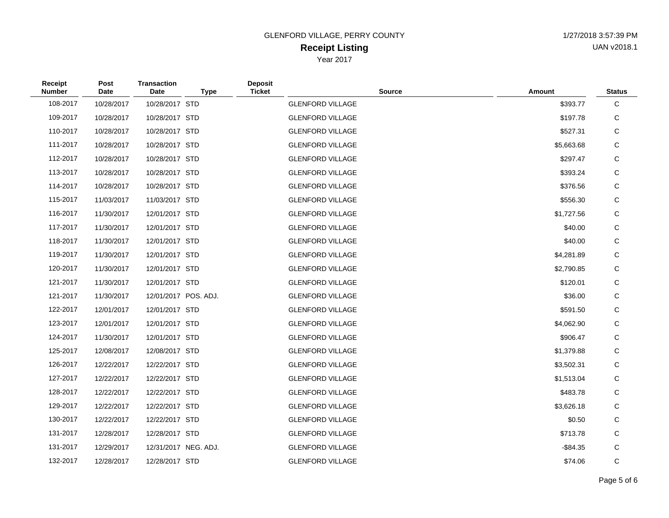| Receipt<br><b>Number</b> | Post<br><b>Date</b> | <b>Transaction</b><br><b>Date</b> | <b>Type</b>          | <b>Deposit</b><br><b>Ticket</b> | <b>Source</b>           | <b>Amount</b> | <b>Status</b> |
|--------------------------|---------------------|-----------------------------------|----------------------|---------------------------------|-------------------------|---------------|---------------|
| 108-2017                 | 10/28/2017          | 10/28/2017 STD                    |                      |                                 | <b>GLENFORD VILLAGE</b> | \$393.77      | $\mathbf C$   |
| 109-2017                 | 10/28/2017          | 10/28/2017 STD                    |                      |                                 | <b>GLENFORD VILLAGE</b> | \$197.78      | C             |
| 110-2017                 | 10/28/2017          | 10/28/2017 STD                    |                      |                                 | <b>GLENFORD VILLAGE</b> | \$527.31      | C             |
| 111-2017                 | 10/28/2017          | 10/28/2017 STD                    |                      |                                 | <b>GLENFORD VILLAGE</b> | \$5,663.68    | C             |
| 112-2017                 | 10/28/2017          | 10/28/2017 STD                    |                      |                                 | <b>GLENFORD VILLAGE</b> | \$297.47      | C             |
| 113-2017                 | 10/28/2017          | 10/28/2017 STD                    |                      |                                 | <b>GLENFORD VILLAGE</b> | \$393.24      | C             |
| 114-2017                 | 10/28/2017          | 10/28/2017 STD                    |                      |                                 | <b>GLENFORD VILLAGE</b> | \$376.56      | C             |
| 115-2017                 | 11/03/2017          | 11/03/2017 STD                    |                      |                                 | <b>GLENFORD VILLAGE</b> | \$556.30      | C             |
| 116-2017                 | 11/30/2017          | 12/01/2017 STD                    |                      |                                 | <b>GLENFORD VILLAGE</b> | \$1,727.56    | C             |
| 117-2017                 | 11/30/2017          | 12/01/2017 STD                    |                      |                                 | <b>GLENFORD VILLAGE</b> | \$40.00       | C             |
| 118-2017                 | 11/30/2017          | 12/01/2017 STD                    |                      |                                 | <b>GLENFORD VILLAGE</b> | \$40.00       | C             |
| 119-2017                 | 11/30/2017          | 12/01/2017 STD                    |                      |                                 | <b>GLENFORD VILLAGE</b> | \$4,281.89    | C             |
| 120-2017                 | 11/30/2017          | 12/01/2017 STD                    |                      |                                 | <b>GLENFORD VILLAGE</b> | \$2,790.85    | C             |
| 121-2017                 | 11/30/2017          | 12/01/2017 STD                    |                      |                                 | <b>GLENFORD VILLAGE</b> | \$120.01      | C             |
| 121-2017                 | 11/30/2017          |                                   | 12/01/2017 POS. ADJ. |                                 | <b>GLENFORD VILLAGE</b> | \$36.00       | $\mathsf C$   |
| 122-2017                 | 12/01/2017          | 12/01/2017 STD                    |                      |                                 | <b>GLENFORD VILLAGE</b> | \$591.50      | $\mathsf C$   |
| 123-2017                 | 12/01/2017          | 12/01/2017 STD                    |                      |                                 | <b>GLENFORD VILLAGE</b> | \$4,062.90    | C             |
| 124-2017                 | 11/30/2017          | 12/01/2017 STD                    |                      |                                 | <b>GLENFORD VILLAGE</b> | \$906.47      | $\mathsf C$   |
| 125-2017                 | 12/08/2017          | 12/08/2017 STD                    |                      |                                 | <b>GLENFORD VILLAGE</b> | \$1,379.88    | C             |
| 126-2017                 | 12/22/2017          | 12/22/2017 STD                    |                      |                                 | <b>GLENFORD VILLAGE</b> | \$3,502.31    | C             |
| 127-2017                 | 12/22/2017          | 12/22/2017 STD                    |                      |                                 | <b>GLENFORD VILLAGE</b> | \$1,513.04    | $\mathbf C$   |
| 128-2017                 | 12/22/2017          | 12/22/2017 STD                    |                      |                                 | <b>GLENFORD VILLAGE</b> | \$483.78      | C             |
| 129-2017                 | 12/22/2017          | 12/22/2017 STD                    |                      |                                 | <b>GLENFORD VILLAGE</b> | \$3,626.18    | $\mathsf C$   |
| 130-2017                 | 12/22/2017          | 12/22/2017 STD                    |                      |                                 | <b>GLENFORD VILLAGE</b> | \$0.50        | $\mathsf{C}$  |
| 131-2017                 | 12/28/2017          | 12/28/2017 STD                    |                      |                                 | <b>GLENFORD VILLAGE</b> | \$713.78      | C             |
| 131-2017                 | 12/29/2017          |                                   | 12/31/2017 NEG. ADJ. |                                 | <b>GLENFORD VILLAGE</b> | $-$ \$84.35   | C             |
| 132-2017                 | 12/28/2017          | 12/28/2017 STD                    |                      |                                 | <b>GLENFORD VILLAGE</b> | \$74.06       | $\mathsf{C}$  |